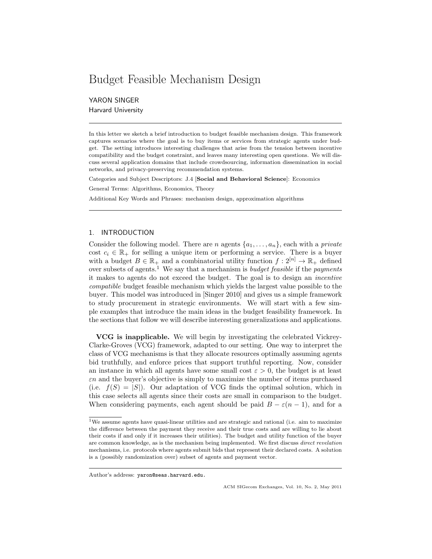# Budget Feasible Mechanism Design

YARON SINGER Harvard University

In this letter we sketch a brief introduction to budget feasible mechanism design. This framework captures scenarios where the goal is to buy items or services from strategic agents under budget. The setting introduces interesting challenges that arise from the tension between incentive compatibility and the budget constraint, and leaves many interesting open questions. We will discuss several application domains that include crowdsourcing, information dissemination in social networks, and privacy-preserving recommendation systems.

Categories and Subject Descriptors: J.4 [Social and Behavioral Science]: Economics

General Terms: Algorithms, Economics, Theory

Additional Key Words and Phrases: mechanism design, approximation algorithms

## 1. INTRODUCTION

Consider the following model. There are *n* agents  $\{a_1, \ldots, a_n\}$ , each with a *private* cost  $c_i \in \mathbb{R}_+$  for selling a unique item or performing a service. There is a buyer with a budget  $B \in \mathbb{R}_+$  and a combinatorial utility function  $f: 2^{[n]} \to \mathbb{R}_+$  defined over subsets of agents.<sup>1</sup> We say that a mechanism is *budget feasible* if the *payments* it makes to agents do not exceed the budget. The goal is to design an incentive compatible budget feasible mechanism which yields the largest value possible to the buyer. This model was introduced in [Singer 2010] and gives us a simple framework to study procurement in strategic environments. We will start with a few simple examples that introduce the main ideas in the budget feasibility framework. In the sections that follow we will describe interesting generalizations and applications.

VCG is inapplicable. We will begin by investigating the celebrated Vickrey-Clarke-Groves (VCG) framework, adapted to our setting. One way to interpret the class of VCG mechanisms is that they allocate resources optimally assuming agents bid truthfully, and enforce prices that support truthful reporting. Now, consider an instance in which all agents have some small cost  $\varepsilon > 0$ , the budget is at least  $\varepsilon$ n and the buyer's objective is simply to maximize the number of items purchased (i.e.  $f(S) = |S|$ ). Our adaptation of VCG finds the optimal solution, which in this case selects all agents since their costs are small in comparison to the budget. When considering payments, each agent should be paid  $B - \varepsilon(n-1)$ , and for a

Author's address: yaron@seas.harvard.edu.

<sup>&</sup>lt;sup>1</sup>We assume agents have quasi-linear utilities and are strategic and rational (i.e. aim to maximize the difference between the payment they receive and their true costs and are willing to lie about their costs if and only if it increases their utilities). The budget and utility function of the buyer are common knowledge, as is the mechanism being implemented. We first discuss *direct revelation* mechanisms, i.e. protocols where agents submit bids that represent their declared costs. A solution is a (possibly randomization over) subset of agents and payment vector.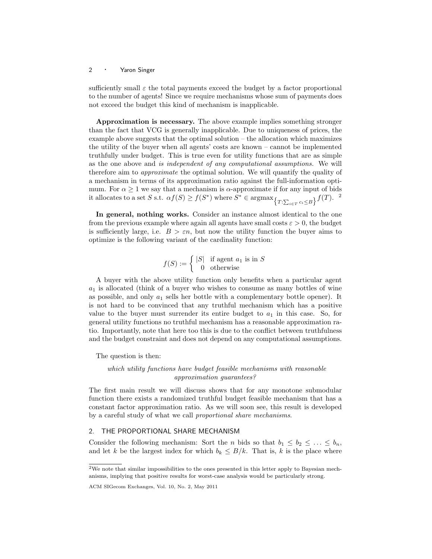sufficiently small  $\varepsilon$  the total payments exceed the budget by a factor proportional to the number of agents! Since we require mechanisms whose sum of payments does not exceed the budget this kind of mechanism is inapplicable.

Approximation is necessary. The above example implies something stronger than the fact that VCG is generally inapplicable. Due to uniqueness of prices, the example above suggests that the optimal solution – the allocation which maximizes the utility of the buyer when all agents' costs are known – cannot be implemented truthfully under budget. This is true even for utility functions that are as simple as the one above and is independent of any computational assumptions. We will therefore aim to approximate the optimal solution. We will quantify the quality of a mechanism in terms of its approximation ratio against the full-information optimum. For  $\alpha \geq 1$  we say that a mechanism is  $\alpha$ -approximate if for any input of bids it allocates to a set S s.t.  $\alpha f(S) \ge f(S^*)$  where  $S^* \in \operatorname{argmax}_{\{T:\sum_{i \in T} c_i \le B\}} f(T)$ . <sup>2</sup>

In general, nothing works. Consider an instance almost identical to the one from the previous example where again all agents have small costs  $\varepsilon > 0$ , the budget is sufficiently large, i.e.  $B > \varepsilon n$ , but now the utility function the buyer aims to optimize is the following variant of the cardinality function:

$$
f(S) := \begin{cases} |S| & \text{if agent } a_1 \text{ is in } S \\ 0 & \text{otherwise} \end{cases}
$$

A buyer with the above utility function only benefits when a particular agent  $a_1$  is allocated (think of a buyer who wishes to consume as many bottles of wine as possible, and only  $a_1$  sells her bottle with a complementary bottle opener). It is not hard to be convinced that any truthful mechanism which has a positive value to the buyer must surrender its entire budget to  $a_1$  in this case. So, for general utility functions no truthful mechanism has a reasonable approximation ratio. Importantly, note that here too this is due to the conflict between truthfulness and the budget constraint and does not depend on any computational assumptions.

The question is then:

which utility functions have budget feasible mechanisms with reasonable approximation guarantees?

The first main result we will discuss shows that for any monotone submodular function there exists a randomized truthful budget feasible mechanism that has a constant factor approximation ratio. As we will soon see, this result is developed by a careful study of what we call proportional share mechanisms.

## 2. THE PROPORTIONAL SHARE MECHANISM

Consider the following mechanism: Sort the *n* bids so that  $b_1 \leq b_2 \leq \ldots \leq b_n$ , and let k be the largest index for which  $b_k \leq B/k$ . That is, k is the place where

 $^2\rm{We}$  note that similar impossibilities to the ones presented in this letter apply to Bayesian mechanisms, implying that positive results for worst-case analysis would be particularly strong.

ACM SIGecom Exchanges, Vol. 10, No. 2, May 2011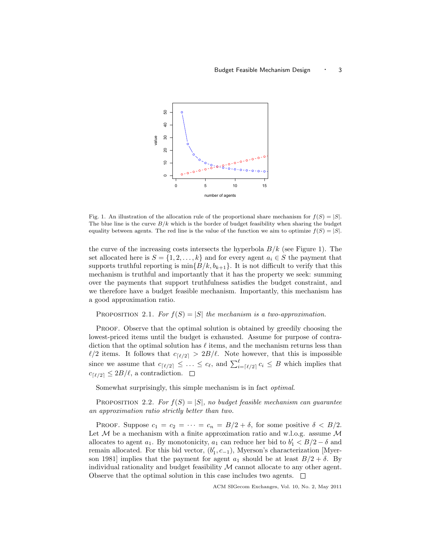

Fig. 1. An illustration of the allocation rule of the proportional share mechanism for  $f(S) = |S|$ . The blue line is the curve  $B/k$  which is the border of budget feasibility when sharing the budget equality between agents. The red line is the value of the function we aim to optimize  $f(S) = |S|$ .

the curve of the increasing costs intersects the hyperbola  $B/k$  (see Figure 1). The set allocated here is  $S = \{1, 2, ..., k\}$  and for every agent  $a_i \in S$  the payment that supports truthful reporting is  $\min\{B/k, b_{k+1}\}\$ . It is not difficult to verify that this mechanism is truthful and importantly that it has the property we seek: summing over the payments that support truthfulness satisfies the budget constraint, and we therefore have a budget feasible mechanism. Importantly, this mechanism has a good approximation ratio.

PROPOSITION 2.1. For  $f(S) = |S|$  the mechanism is a two-approximation.

Proof. Observe that the optimal solution is obtained by greedily choosing the lowest-priced items until the budget is exhausted. Assume for purpose of contradiction that the optimal solution has  $\ell$  items, and the mechanism returns less than  $\ell/2$  items. It follows that  $c_{\lceil \ell/2 \rceil} > 2B/\ell$ . Note however, that this is impossible since we assume that  $c_{\lceil \ell/2 \rceil} \leq \ldots \leq c_{\ell}$ , and  $\sum_{i=\lceil \ell/2 \rceil}^{\ell} c_i \leq B$  which implies that  $c_{\lceil \ell/2 \rceil} \leq 2B/\ell$ , a contradiction.  $\Box$ 

Somewhat surprisingly, this simple mechanism is in fact optimal.

PROPOSITION 2.2. For  $f(S) = |S|$ , no budget feasible mechanism can quarantee an approximation ratio strictly better than two.

PROOF. Suppose  $c_1 = c_2 = \cdots = c_n = B/2 + \delta$ , for some positive  $\delta < B/2$ . Let  $M$  be a mechanism with a finite approximation ratio and w.l.o.g. assume  $M$ allocates to agent  $a_1$ . By monotonicity,  $a_1$  can reduce her bid to  $b'_1 < B/2 - \delta$  and remain allocated. For this bid vector,  $(b'_1, c_{-1})$ , Myerson's characterization [Myerson 1981] implies that the payment for agent  $a_1$  should be at least  $B/2 + \delta$ . By individual rationality and budget feasibility  $\mathcal M$  cannot allocate to any other agent. Observe that the optimal solution in this case includes two agents.  $\Box$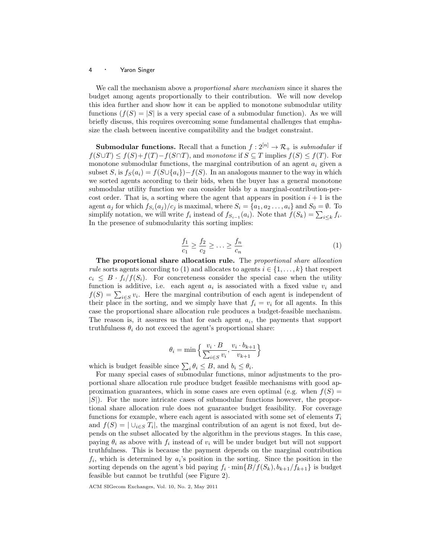We call the mechanism above a *proportional share mechanism* since it shares the budget among agents proportionally to their contribution. We will now develop this idea further and show how it can be applied to monotone submodular utility functions  $(f(S) = |S|)$  is a very special case of a submodular function). As we will briefly discuss, this requires overcoming some fundamental challenges that emphasize the clash between incentive compatibility and the budget constraint.

**Submodular functions.** Recall that a function  $f: 2^{[n]} \to \mathcal{R}_+$  is submodular if  $f(S \cup T) \leq f(S) + f(T) - f(S \cap T)$ , and monotone if  $S \subseteq T$  implies  $f(S) \leq f(T)$ . For monotone submodular functions, the marginal contribution of an agent  $a_i$  given a subset S, is  $f_S(a_i) = f(S \cup \{a_i\}) - f(S)$ . In an analogous manner to the way in which we sorted agents according to their bids, when the buyer has a general monotone submodular utility function we can consider bids by a marginal-contribution-percost order. That is, a sorting where the agent that appears in position  $i + 1$  is the agent  $a_j$  for which  $f_{S_i}(a_j)/c_j$  is maximal, where  $S_i = \{a_1, a_2 \ldots, a_i\}$  and  $S_0 = \emptyset$ . To simplify notation, we will write  $f_i$  instead of  $f_{S_{i-1}}(a_i)$ . Note that  $f(S_k) = \sum_{i \leq k} f_i$ . In the presence of submodularity this sorting implies:

$$
\frac{f_1}{c_1} \ge \frac{f_2}{c_2} \ge \dots \ge \frac{f_n}{c_n} \tag{1}
$$

The proportional share allocation rule. The proportional share allocation rule sorts agents according to (1) and allocates to agents  $i \in \{1, \ldots, k\}$  that respect  $c_i \leq B \cdot f_i/f(S_i)$ . For concreteness consider the special case when the utility function is additive, i.e. each agent  $a_i$  is associated with a fixed value  $v_i$  and  $f(S) = \sum_{i \in S} v_i$ . Here the marginal contribution of each agent is independent of their place in the sorting, and we simply have that  $f_i = v_i$  for all agents. In this case the proportional share allocation rule produces a budget-feasible mechanism. The reason is, it assures us that for each agent  $a_i$ , the payments that support truthfulness  $\theta_i$  do not exceed the agent's proportional share:

$$
\theta_i = \min\left\{\frac{v_i \cdot B}{\sum_{i \in S} v_i}, \frac{v_i \cdot b_{k+1}}{v_{k+1}}\right\}
$$

which is budget feasible since  $\sum_i \theta_i \leq B$ , and  $b_i \leq \theta_i$ .

For many special cases of submodular functions, minor adjustments to the proportional share allocation rule produce budget feasible mechanisms with good approximation guarantees, which in some cases are even optimal (e.g. when  $f(S)$ )  $|S|$ ). For the more intricate cases of submodular functions however, the proportional share allocation rule does not guarantee budget feasibility. For coverage functions for example, where each agent is associated with some set of elements  $T_i$ and  $f(S) = |\cup_{i \in S} T_i|$ , the marginal contribution of an agent is not fixed, but depends on the subset allocated by the algorithm in the previous stages. In this case, paying  $\theta_i$  as above with  $f_i$  instead of  $v_i$  will be under budget but will not support truthfulness. This is because the payment depends on the marginal contribution  $f_i$ , which is determined by  $a_i$ 's position in the sorting. Since the position in the sorting depends on the agent's bid paying  $f_i \cdot \min\{B/f(S_k), b_{k+1}/f_{k+1}\}$  is budget feasible but cannot be truthful (see Figure 2).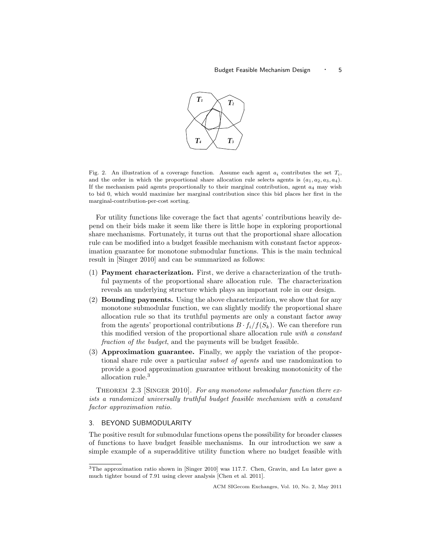

Fig. 2. An illustration of a coverage function. Assume each agent  $a_i$  contributes the set  $T_i$ , and the order in which the proportional share allocation rule selects agents is  $(a_1, a_2, a_3, a_4)$ . If the mechanism paid agents proportionally to their marginal contribution, agent  $a_4$  may wish to bid 0, which would maximize her marginal contribution since this bid places her first in the marginal-contribution-per-cost sorting.

For utility functions like coverage the fact that agents' contributions heavily depend on their bids make it seem like there is little hope in exploring proportional share mechanisms. Fortunately, it turns out that the proportional share allocation rule can be modified into a budget feasible mechanism with constant factor approximation guarantee for monotone submodular functions. This is the main technical result in [Singer 2010] and can be summarized as follows:

- (1) Payment characterization. First, we derive a characterization of the truthful payments of the proportional share allocation rule. The characterization reveals an underlying structure which plays an important role in our design.
- (2) Bounding payments. Using the above characterization, we show that for any monotone submodular function, we can slightly modify the proportional share allocation rule so that its truthful payments are only a constant factor away from the agents' proportional contributions  $B \cdot f_i/f(S_k)$ . We can therefore run this modified version of the proportional share allocation rule with a constant fraction of the budget, and the payments will be budget feasible.
- (3) Approximation guarantee. Finally, we apply the variation of the proportional share rule over a particular subset of agents and use randomization to provide a good approximation guarantee without breaking monotonicity of the allocation rule.<sup>3</sup>

THEOREM 2.3 [SINGER 2010]. For any monotone submodular function there exists a randomized universally truthful budget feasible mechanism with a constant factor approximation ratio.

## 3. BEYOND SUBMODULARITY

The positive result for submodular functions opens the possibility for broader classes of functions to have budget feasible mechanisms. In our introduction we saw a simple example of a superadditive utility function where no budget feasible with

<sup>3</sup>The approximation ratio shown in [Singer 2010] was 117.7. Chen, Gravin, and Lu later gave a much tighter bound of 7.91 using clever analysis [Chen et al. 2011].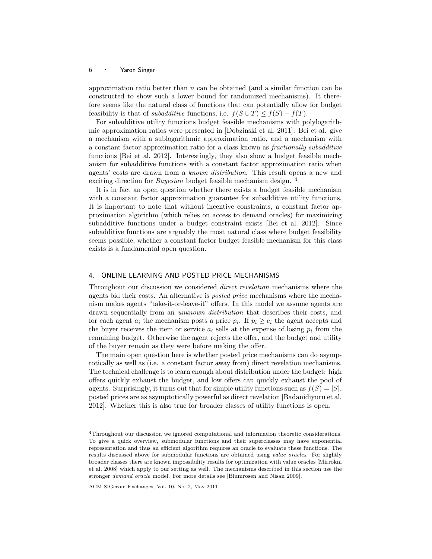approximation ratio better than  $n$  can be obtained (and a similar function can be constructed to show such a lower bound for randomized mechanisms). It therefore seems like the natural class of functions that can potentially allow for budget feasibility is that of *subadditive* functions, i.e.  $f(S \cup T) \leq f(S) + f(T)$ .

For subadditive utility functions budget feasible mechanisms with polylogarithmic approximation ratios were presented in [Dobzinski et al. 2011]. Bei et al. give a mechanism with a sublogarithmic approximation ratio, and a mechanism with a constant factor approximation ratio for a class known as fractionally subadditive functions [Bei et al. 2012]. Interestingly, they also show a budget feasible mechanism for subadditive functions with a constant factor approximation ratio when agents' costs are drawn from a known distribution. This result opens a new and exciting direction for *Bayesian* budget feasible mechanism design. <sup>4</sup>

It is in fact an open question whether there exists a budget feasible mechanism with a constant factor approximation guarantee for subadditive utility functions. It is important to note that without incentive constraints, a constant factor approximation algorithm (which relies on access to demand oracles) for maximizing subadditive functions under a budget constraint exists [Bei et al. 2012]. Since subadditive functions are arguably the most natural class where budget feasibility seems possible, whether a constant factor budget feasible mechanism for this class exists is a fundamental open question.

### 4. ONLINE LEARNING AND POSTED PRICE MECHANISMS

Throughout our discussion we considered direct revelation mechanisms where the agents bid their costs. An alternative is posted price mechanisms where the mechanism makes agents "take-it-or-leave-it" offers. In this model we assume agents are drawn sequentially from an unknown distribution that describes their costs, and for each agent  $a_i$  the mechanism posts a price  $p_i$ . If  $p_i \geq c_i$  the agent accepts and the buyer receives the item or service  $a_i$  sells at the expense of losing  $p_i$  from the remaining budget. Otherwise the agent rejects the offer, and the budget and utility of the buyer remain as they were before making the offer.

The main open question here is whether posted price mechanisms can do asymptotically as well as (i.e. a constant factor away from) direct revelation mechanisms. The technical challenge is to learn enough about distribution under the budget: high offers quickly exhaust the budget, and low offers can quickly exhaust the pool of agents. Surprisingly, it turns out that for simple utility functions such as  $f(S) = |S|$ , posted prices are as asymptotically powerful as direct revelation [Badanidiyuru et al. 2012]. Whether this is also true for broader classes of utility functions is open.

<sup>4</sup>Throughout our discussion we ignored computational and information theoretic considerations. To give a quick overview, submodular functions and their superclasses may have exponential representation and thus an efficient algorithm requires an oracle to evaluate these functions. The results discussed above for submodular functions are obtained using value oracles. For slightly broader classes there are known impossibility results for optimization with value oracles [Mirrokni et al. 2008] which apply to our setting as well. The mechanisms described in this section use the stronger demand oracle model. For more details see [Blumrosen and Nisan 2009].

ACM SIGecom Exchanges, Vol. 10, No. 2, May 2011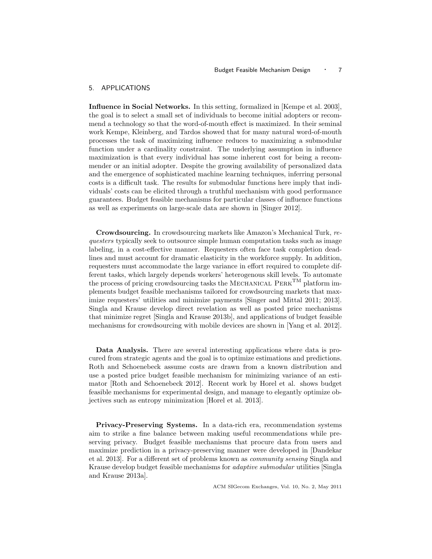### 5. APPLICATIONS

Influence in Social Networks. In this setting, formalized in [Kempe et al. 2003], the goal is to select a small set of individuals to become initial adopters or recommend a technology so that the word-of-mouth effect is maximized. In their seminal work Kempe, Kleinberg, and Tardos showed that for many natural word-of-mouth processes the task of maximizing influence reduces to maximizing a submodular function under a cardinality constraint. The underlying assumption in influence maximization is that every individual has some inherent cost for being a recommender or an initial adopter. Despite the growing availability of personalized data and the emergence of sophisticated machine learning techniques, inferring personal costs is a difficult task. The results for submodular functions here imply that individuals' costs can be elicited through a truthful mechanism with good performance guarantees. Budget feasible mechanisms for particular classes of influence functions as well as experiments on large-scale data are shown in [Singer 2012].

Crowdsourcing. In crowdsourcing markets like Amazon's Mechanical Turk, requesters typically seek to outsource simple human computation tasks such as image labeling, in a cost-effective manner. Requesters often face task completion deadlines and must account for dramatic elasticity in the workforce supply. In addition, requesters must accommodate the large variance in effort required to complete different tasks, which largely depends workers' heterogenous skill levels. To automate the process of pricing crowdsourcing tasks the MECHANICAL  $P_{\text{ERK}}^{\text{TM}}$  platform implements budget feasible mechanisms tailored for crowdsourcing markets that maximize requesters' utilities and minimize payments [Singer and Mittal 2011; 2013]. Singla and Krause develop direct revelation as well as posted price mechanisms that minimize regret [Singla and Krause 2013b], and applications of budget feasible mechanisms for crowdsourcing with mobile devices are shown in [Yang et al. 2012].

Data Analysis. There are several interesting applications where data is procured from strategic agents and the goal is to optimize estimations and predictions. Roth and Schoenebeck assume costs are drawn from a known distribution and use a posted price budget feasible mechanism for minimizing variance of an estimator [Roth and Schoenebeck 2012]. Recent work by Horel et al. shows budget feasible mechanisms for experimental design, and manage to elegantly optimize objectives such as entropy minimization [Horel et al. 2013].

Privacy-Preserving Systems. In a data-rich era, recommendation systems aim to strike a fine balance between making useful recommendations while preserving privacy. Budget feasible mechanisms that procure data from users and maximize prediction in a privacy-preserving manner were developed in [Dandekar et al. 2013]. For a different set of problems known as community sensing Singla and Krause develop budget feasible mechanisms for adaptive submodular utilities [Singla and Krause 2013a].